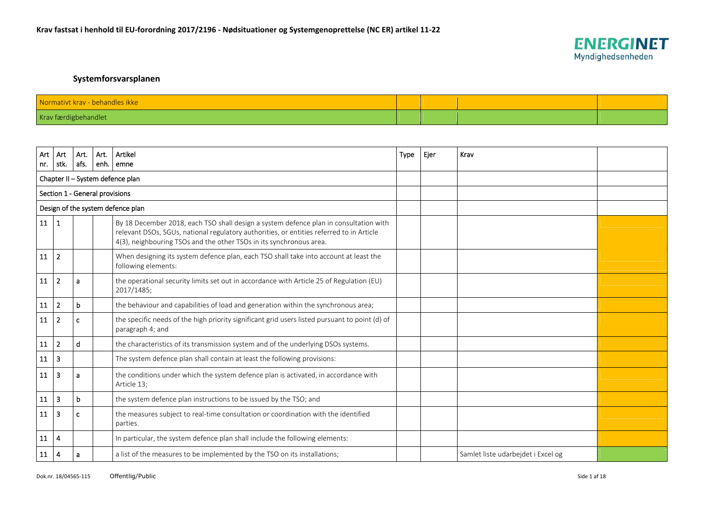

## **Systemforsvarsplanen**

| Normativt krav - behandles ikke |  |  |
|---------------------------------|--|--|
| Krav færdigbehandlet            |  |  |

| Art | Art                              | Art. | Art. | Artikel                                                                                                                                                                                                                                                  | Type | Ejer | Krav                               |  |  |  |
|-----|----------------------------------|------|------|----------------------------------------------------------------------------------------------------------------------------------------------------------------------------------------------------------------------------------------------------------|------|------|------------------------------------|--|--|--|
| nr. | stk.                             | afs. | enh. | emne                                                                                                                                                                                                                                                     |      |      |                                    |  |  |  |
|     | Chapter II - System defence plan |      |      |                                                                                                                                                                                                                                                          |      |      |                                    |  |  |  |
|     | Section 1 - General provisions   |      |      |                                                                                                                                                                                                                                                          |      |      |                                    |  |  |  |
|     |                                  |      |      | Design of the system defence plan                                                                                                                                                                                                                        |      |      |                                    |  |  |  |
| 11  | $\mathbf{1}$                     |      |      | By 18 December 2018, each TSO shall design a system defence plan in consultation with<br>relevant DSOs, SGUs, national regulatory authorities, or entities referred to in Article<br>4(3), neighbouring TSOs and the other TSOs in its synchronous area. |      |      |                                    |  |  |  |
| 11  | $\overline{2}$                   |      |      | When designing its system defence plan, each TSO shall take into account at least the<br>following elements:                                                                                                                                             |      |      |                                    |  |  |  |
| 11  | $\overline{2}$                   | a    |      | the operational security limits set out in accordance with Article 25 of Regulation (EU)<br>2017/1485;                                                                                                                                                   |      |      |                                    |  |  |  |
| 11  | $\overline{2}$                   | b    |      | the behaviour and capabilities of load and generation within the synchronous area;                                                                                                                                                                       |      |      |                                    |  |  |  |
| 11  | $\overline{2}$                   | C    |      | the specific needs of the high priority significant grid users listed pursuant to point (d) of<br>paragraph 4; and                                                                                                                                       |      |      |                                    |  |  |  |
| 11  | $\overline{2}$                   | d    |      | the characteristics of its transmission system and of the underlying DSOs systems.                                                                                                                                                                       |      |      |                                    |  |  |  |
| 11  | $\overline{3}$                   |      |      | The system defence plan shall contain at least the following provisions:                                                                                                                                                                                 |      |      |                                    |  |  |  |
| 11  | 3                                | a    |      | the conditions under which the system defence plan is activated, in accordance with<br>Article 13;                                                                                                                                                       |      |      |                                    |  |  |  |
| 11  | $\overline{\mathbf{3}}$          | b    |      | the system defence plan instructions to be issued by the TSO; and                                                                                                                                                                                        |      |      |                                    |  |  |  |
| 11  | $\overline{\mathbf{3}}$          | c    |      | the measures subject to real-time consultation or coordination with the identified<br>parties.                                                                                                                                                           |      |      |                                    |  |  |  |
| 11  | $\overline{4}$                   |      |      | In particular, the system defence plan shall include the following elements:                                                                                                                                                                             |      |      |                                    |  |  |  |
| 11  | 4                                | a    |      | a list of the measures to be implemented by the TSO on its installations;                                                                                                                                                                                |      |      | Samlet liste udarbejdet i Excel og |  |  |  |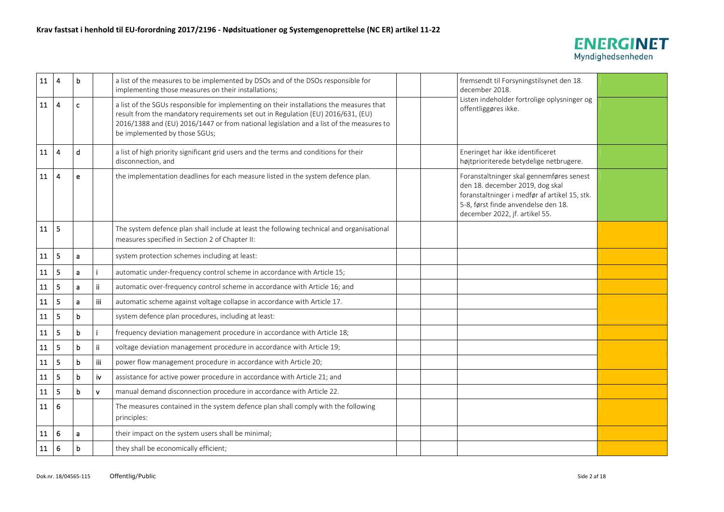

| 11         | $\overline{4}$   | b           |              | a list of the measures to be implemented by DSOs and of the DSOs responsible for<br>implementing those measures on their installations;                                                                                                                                                                  |  | fremsendt til Forsyningstilsynet den 18.<br>december 2018.                                                                                                                                            |  |
|------------|------------------|-------------|--------------|----------------------------------------------------------------------------------------------------------------------------------------------------------------------------------------------------------------------------------------------------------------------------------------------------------|--|-------------------------------------------------------------------------------------------------------------------------------------------------------------------------------------------------------|--|
| 11         | $\boldsymbol{4}$ | $\mathbf c$ |              | a list of the SGUs responsible for implementing on their installations the measures that<br>result from the mandatory requirements set out in Regulation (EU) 2016/631, (EU)<br>2016/1388 and (EU) 2016/1447 or from national legislation and a list of the measures to<br>be implemented by those SGUs; |  | Listen indeholder fortrolige oplysninger og<br>offentliggøres ikke.                                                                                                                                   |  |
| 11         | $\overline{4}$   | d           |              | a list of high priority significant grid users and the terms and conditions for their<br>disconnection, and                                                                                                                                                                                              |  | Eneringet har ikke identificeret<br>højtprioriterede betydelige netbrugere.                                                                                                                           |  |
| 11         | $\overline{4}$   | e           |              | the implementation deadlines for each measure listed in the system defence plan.                                                                                                                                                                                                                         |  | Foranstaltninger skal gennemføres senest<br>den 18. december 2019, dog skal<br>foranstaltninger i medfør af artikel 15, stk.<br>5-8, først finde anvendelse den 18.<br>december 2022, jf. artikel 55. |  |
| 11         | 5                |             |              | The system defence plan shall include at least the following technical and organisational<br>measures specified in Section 2 of Chapter II:                                                                                                                                                              |  |                                                                                                                                                                                                       |  |
| 11         | 5                | a           |              | system protection schemes including at least:                                                                                                                                                                                                                                                            |  |                                                                                                                                                                                                       |  |
| 11         | 5                | a           |              | automatic under-frequency control scheme in accordance with Article 15;                                                                                                                                                                                                                                  |  |                                                                                                                                                                                                       |  |
| ${\bf 11}$ | 5                | a           | ij           | automatic over-frequency control scheme in accordance with Article 16; and                                                                                                                                                                                                                               |  |                                                                                                                                                                                                       |  |
| ${\bf 11}$ | 5                | a           | iii          | automatic scheme against voltage collapse in accordance with Article 17.                                                                                                                                                                                                                                 |  |                                                                                                                                                                                                       |  |
| 11         | 5                | $\mathbf b$ |              | system defence plan procedures, including at least:                                                                                                                                                                                                                                                      |  |                                                                                                                                                                                                       |  |
| ${\bf 11}$ | 5                | b           |              | frequency deviation management procedure in accordance with Article 18;                                                                                                                                                                                                                                  |  |                                                                                                                                                                                                       |  |
| 11         | 5                | b           | ii.          | voltage deviation management procedure in accordance with Article 19;                                                                                                                                                                                                                                    |  |                                                                                                                                                                                                       |  |
| ${\bf 11}$ | 5                | b           | iii          | power flow management procedure in accordance with Article 20;                                                                                                                                                                                                                                           |  |                                                                                                                                                                                                       |  |
| 11         | 5                | b           | iv           | assistance for active power procedure in accordance with Article 21; and                                                                                                                                                                                                                                 |  |                                                                                                                                                                                                       |  |
| ${\bf 11}$ | 5                | b           | $\mathbf{v}$ | manual demand disconnection procedure in accordance with Article 22.                                                                                                                                                                                                                                     |  |                                                                                                                                                                                                       |  |
| 11         | 6                |             |              | The measures contained in the system defence plan shall comply with the following<br>principles:                                                                                                                                                                                                         |  |                                                                                                                                                                                                       |  |
| 11         | 6                | a           |              | their impact on the system users shall be minimal;                                                                                                                                                                                                                                                       |  |                                                                                                                                                                                                       |  |
| 11         | 6                | b           |              | they shall be economically efficient;                                                                                                                                                                                                                                                                    |  |                                                                                                                                                                                                       |  |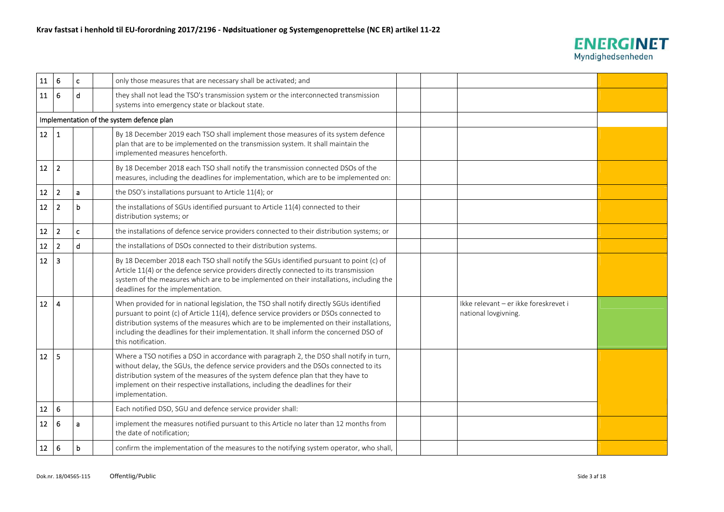

| ${\bf 11}$      | 6              | $\mathbf{c}$ | only those measures that are necessary shall be activated; and                                                                                                                                                                                                                                                                                                                                 |  |                                                               |  |
|-----------------|----------------|--------------|------------------------------------------------------------------------------------------------------------------------------------------------------------------------------------------------------------------------------------------------------------------------------------------------------------------------------------------------------------------------------------------------|--|---------------------------------------------------------------|--|
| ${\bf 11}$      | 6              | d            | they shall not lead the TSO's transmission system or the interconnected transmission<br>systems into emergency state or blackout state.                                                                                                                                                                                                                                                        |  |                                                               |  |
|                 |                |              | Implementation of the system defence plan                                                                                                                                                                                                                                                                                                                                                      |  |                                                               |  |
| 12              | 1              |              | By 18 December 2019 each TSO shall implement those measures of its system defence<br>plan that are to be implemented on the transmission system. It shall maintain the<br>implemented measures henceforth.                                                                                                                                                                                     |  |                                                               |  |
| 12              | $\overline{2}$ |              | By 18 December 2018 each TSO shall notify the transmission connected DSOs of the<br>measures, including the deadlines for implementation, which are to be implemented on:                                                                                                                                                                                                                      |  |                                                               |  |
| $12\,$          | $\overline{2}$ | a            | the DSO's installations pursuant to Article 11(4); or                                                                                                                                                                                                                                                                                                                                          |  |                                                               |  |
| 12              | $\overline{2}$ | $\mathbf b$  | the installations of SGUs identified pursuant to Article 11(4) connected to their<br>distribution systems; or                                                                                                                                                                                                                                                                                  |  |                                                               |  |
| 12              | $\overline{2}$ | $\mathbf{c}$ | the installations of defence service providers connected to their distribution systems; or                                                                                                                                                                                                                                                                                                     |  |                                                               |  |
| 12              | $\overline{2}$ | $\mathbf d$  | the installations of DSOs connected to their distribution systems.                                                                                                                                                                                                                                                                                                                             |  |                                                               |  |
| 12              | 3              |              | By 18 December 2018 each TSO shall notify the SGUs identified pursuant to point (c) of<br>Article 11(4) or the defence service providers directly connected to its transmission<br>system of the measures which are to be implemented on their installations, including the<br>deadlines for the implementation.                                                                               |  |                                                               |  |
| 12 <sub>2</sub> | 4              |              | When provided for in national legislation, the TSO shall notify directly SGUs identified<br>pursuant to point (c) of Article 11(4), defence service providers or DSOs connected to<br>distribution systems of the measures which are to be implemented on their installations,<br>including the deadlines for their implementation. It shall inform the concerned DSO of<br>this notification. |  | Ikke relevant - er ikke foreskrevet i<br>national lovgivning. |  |
| 12              | -5             |              | Where a TSO notifies a DSO in accordance with paragraph 2, the DSO shall notify in turn,<br>without delay, the SGUs, the defence service providers and the DSOs connected to its<br>distribution system of the measures of the system defence plan that they have to<br>implement on their respective installations, including the deadlines for their<br>implementation.                      |  |                                                               |  |
| $12\,$          | 6              |              | Each notified DSO, SGU and defence service provider shall:                                                                                                                                                                                                                                                                                                                                     |  |                                                               |  |
| 12              | 6              | a            | implement the measures notified pursuant to this Article no later than 12 months from<br>the date of notification;                                                                                                                                                                                                                                                                             |  |                                                               |  |
| 12              | 6              | b            | confirm the implementation of the measures to the notifying system operator, who shall,                                                                                                                                                                                                                                                                                                        |  |                                                               |  |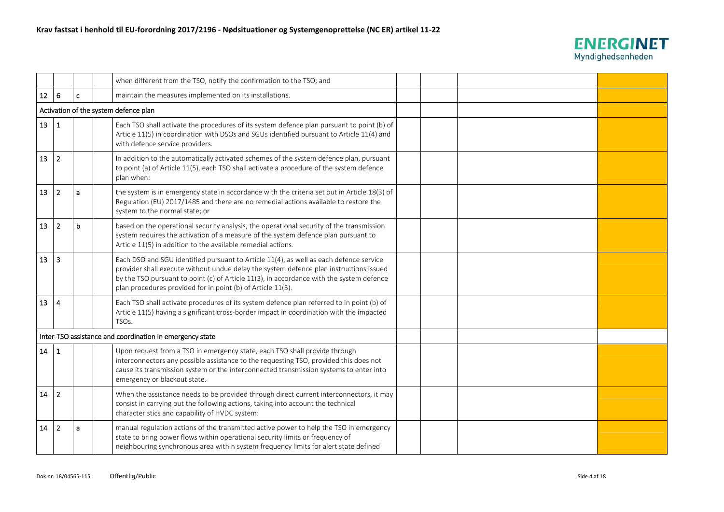

|                  |                |   | when different from the TSO, notify the confirmation to the TSO; and                                                                                                                                                                                                                                                                        |  |  |
|------------------|----------------|---|---------------------------------------------------------------------------------------------------------------------------------------------------------------------------------------------------------------------------------------------------------------------------------------------------------------------------------------------|--|--|
| 12               | 6              | c | maintain the measures implemented on its installations.                                                                                                                                                                                                                                                                                     |  |  |
|                  |                |   | Activation of the system defence plan                                                                                                                                                                                                                                                                                                       |  |  |
| 13 <sup>13</sup> | $\mathbf{1}$   |   | Each TSO shall activate the procedures of its system defence plan pursuant to point (b) of<br>Article 11(5) in coordination with DSOs and SGUs identified pursuant to Article 11(4) and<br>with defence service providers.                                                                                                                  |  |  |
| 13               | $\overline{2}$ |   | In addition to the automatically activated schemes of the system defence plan, pursuant<br>to point (a) of Article 11(5), each TSO shall activate a procedure of the system defence<br>plan when:                                                                                                                                           |  |  |
| 13               | $\overline{2}$ | a | the system is in emergency state in accordance with the criteria set out in Article 18(3) of<br>Regulation (EU) 2017/1485 and there are no remedial actions available to restore the<br>system to the normal state; or                                                                                                                      |  |  |
| 13               | $\overline{2}$ | b | based on the operational security analysis, the operational security of the transmission<br>system requires the activation of a measure of the system defence plan pursuant to<br>Article 11(5) in addition to the available remedial actions.                                                                                              |  |  |
| 13               | 3              |   | Each DSO and SGU identified pursuant to Article 11(4), as well as each defence service<br>provider shall execute without undue delay the system defence plan instructions issued<br>by the TSO pursuant to point (c) of Article 11(3), in accordance with the system defence<br>plan procedures provided for in point (b) of Article 11(5). |  |  |
| 13               | $\overline{4}$ |   | Each TSO shall activate procedures of its system defence plan referred to in point (b) of<br>Article 11(5) having a significant cross-border impact in coordination with the impacted<br>TSO <sub>S</sub> .                                                                                                                                 |  |  |
|                  |                |   | Inter-TSO assistance and coordination in emergency state                                                                                                                                                                                                                                                                                    |  |  |
| 14               | $\mathbf{1}$   |   | Upon request from a TSO in emergency state, each TSO shall provide through<br>interconnectors any possible assistance to the requesting TSO, provided this does not<br>cause its transmission system or the interconnected transmission systems to enter into<br>emergency or blackout state.                                               |  |  |
| 14               | $\overline{2}$ |   | When the assistance needs to be provided through direct current interconnectors, it may<br>consist in carrying out the following actions, taking into account the technical<br>characteristics and capability of HVDC system:                                                                                                               |  |  |
| 14               | $\overline{2}$ | a | manual regulation actions of the transmitted active power to help the TSO in emergency<br>state to bring power flows within operational security limits or frequency of<br>neighbouring synchronous area within system frequency limits for alert state defined                                                                             |  |  |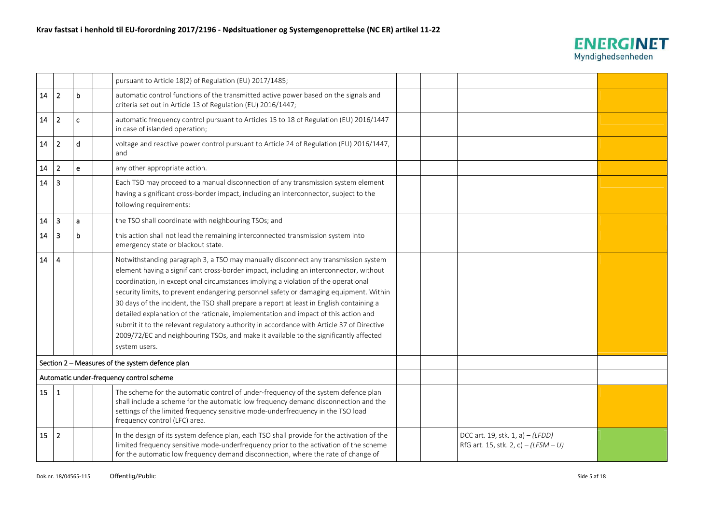

|    |                |              | pursuant to Article 18(2) of Regulation (EU) 2017/1485;                                                                                                                                                                                                                                                                                                                                                                                                                                                                                                                                                                                                                                                                                                |  |                                                                           |  |
|----|----------------|--------------|--------------------------------------------------------------------------------------------------------------------------------------------------------------------------------------------------------------------------------------------------------------------------------------------------------------------------------------------------------------------------------------------------------------------------------------------------------------------------------------------------------------------------------------------------------------------------------------------------------------------------------------------------------------------------------------------------------------------------------------------------------|--|---------------------------------------------------------------------------|--|
| 14 | $\overline{2}$ | b            | automatic control functions of the transmitted active power based on the signals and<br>criteria set out in Article 13 of Regulation (EU) 2016/1447;                                                                                                                                                                                                                                                                                                                                                                                                                                                                                                                                                                                                   |  |                                                                           |  |
| 14 | $\overline{2}$ | $\mathbf{c}$ | automatic frequency control pursuant to Articles 15 to 18 of Regulation (EU) 2016/1447<br>in case of islanded operation;                                                                                                                                                                                                                                                                                                                                                                                                                                                                                                                                                                                                                               |  |                                                                           |  |
| 14 | $\overline{2}$ | d            | voltage and reactive power control pursuant to Article 24 of Regulation (EU) 2016/1447,<br>and                                                                                                                                                                                                                                                                                                                                                                                                                                                                                                                                                                                                                                                         |  |                                                                           |  |
| 14 | $\overline{2}$ | $\mathbf{e}$ | any other appropriate action.                                                                                                                                                                                                                                                                                                                                                                                                                                                                                                                                                                                                                                                                                                                          |  |                                                                           |  |
| 14 | $\overline{3}$ |              | Each TSO may proceed to a manual disconnection of any transmission system element<br>having a significant cross-border impact, including an interconnector, subject to the<br>following requirements:                                                                                                                                                                                                                                                                                                                                                                                                                                                                                                                                                  |  |                                                                           |  |
| 14 | $\overline{3}$ | a            | the TSO shall coordinate with neighbouring TSOs; and                                                                                                                                                                                                                                                                                                                                                                                                                                                                                                                                                                                                                                                                                                   |  |                                                                           |  |
| 14 | 3              | b            | this action shall not lead the remaining interconnected transmission system into<br>emergency state or blackout state.                                                                                                                                                                                                                                                                                                                                                                                                                                                                                                                                                                                                                                 |  |                                                                           |  |
| 14 | $\overline{4}$ |              | Notwithstanding paragraph 3, a TSO may manually disconnect any transmission system<br>element having a significant cross-border impact, including an interconnector, without<br>coordination, in exceptional circumstances implying a violation of the operational<br>security limits, to prevent endangering personnel safety or damaging equipment. Within<br>30 days of the incident, the TSO shall prepare a report at least in English containing a<br>detailed explanation of the rationale, implementation and impact of this action and<br>submit it to the relevant regulatory authority in accordance with Article 37 of Directive<br>2009/72/EC and neighbouring TSOs, and make it available to the significantly affected<br>system users. |  |                                                                           |  |
|    |                |              | Section 2 - Measures of the system defence plan                                                                                                                                                                                                                                                                                                                                                                                                                                                                                                                                                                                                                                                                                                        |  |                                                                           |  |
|    |                |              | Automatic under-frequency control scheme                                                                                                                                                                                                                                                                                                                                                                                                                                                                                                                                                                                                                                                                                                               |  |                                                                           |  |
| 15 | $\vert$ 1      |              | The scheme for the automatic control of under-frequency of the system defence plan<br>shall include a scheme for the automatic low frequency demand disconnection and the<br>settings of the limited frequency sensitive mode-underfrequency in the TSO load<br>frequency control (LFC) area.                                                                                                                                                                                                                                                                                                                                                                                                                                                          |  |                                                                           |  |
| 15 | $\overline{2}$ |              | In the design of its system defence plan, each TSO shall provide for the activation of the<br>limited frequency sensitive mode-underfrequency prior to the activation of the scheme<br>for the automatic low frequency demand disconnection, where the rate of change of                                                                                                                                                                                                                                                                                                                                                                                                                                                                               |  | DCC art. 19, stk. 1, a) $-(LFDD)$<br>RfG art. 15, stk. 2, c) – (LFSM – U) |  |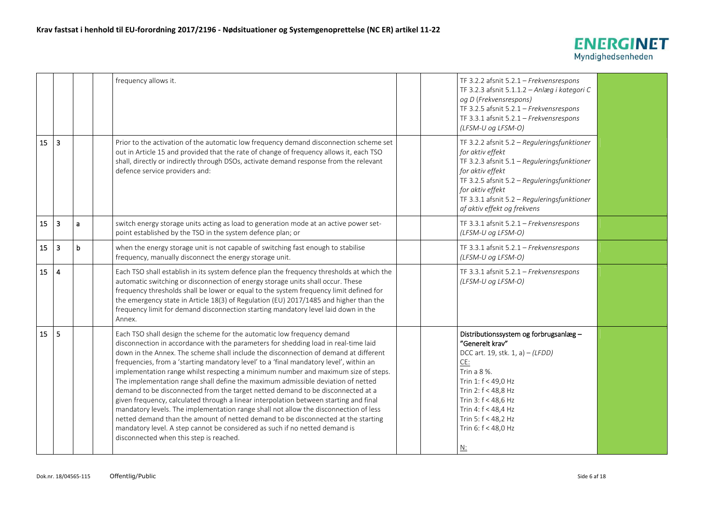

|    |                         |              | frequency allows it.                                                                                                                                                                                                                                                                                                                                                                                                                                                                                                                                                                                                                                                                                                                                                                                                                                                                                                                                                                                          |  | TF 3.2.2 afsnit $5.2.1$ - Frekvensrespons<br>TF 3.2.3 afsnit 5.1.1.2 - Anlæg i kategori C<br>og D (Frekvensrespons)<br>TF 3.2.5 afsnit 5.2.1 - Frekvensrespons<br>TF 3.3.1 afsnit 5.2.1 - Frekvensrespons<br>(LFSM-U og LFSM-O)                                                     |  |
|----|-------------------------|--------------|---------------------------------------------------------------------------------------------------------------------------------------------------------------------------------------------------------------------------------------------------------------------------------------------------------------------------------------------------------------------------------------------------------------------------------------------------------------------------------------------------------------------------------------------------------------------------------------------------------------------------------------------------------------------------------------------------------------------------------------------------------------------------------------------------------------------------------------------------------------------------------------------------------------------------------------------------------------------------------------------------------------|--|-------------------------------------------------------------------------------------------------------------------------------------------------------------------------------------------------------------------------------------------------------------------------------------|--|
| 15 | $\overline{3}$          |              | Prior to the activation of the automatic low frequency demand disconnection scheme set<br>out in Article 15 and provided that the rate of change of frequency allows it, each TSO<br>shall, directly or indirectly through DSOs, activate demand response from the relevant<br>defence service providers and:                                                                                                                                                                                                                                                                                                                                                                                                                                                                                                                                                                                                                                                                                                 |  | TF 3.2.2 afsnit 5.2 - Reguleringsfunktioner<br>for aktiv effekt<br>TF 3.2.3 afsnit 5.1 - Reguleringsfunktioner<br>for aktiv effekt<br>TF 3.2.5 afsnit 5.2 - Reguleringsfunktioner<br>for aktiv effekt<br>TF 3.3.1 afsnit 5.2 - Reguleringsfunktioner<br>af aktiv effekt og frekvens |  |
| 15 | $\overline{3}$          | $\mathbf{a}$ | switch energy storage units acting as load to generation mode at an active power set-<br>point established by the TSO in the system defence plan; or                                                                                                                                                                                                                                                                                                                                                                                                                                                                                                                                                                                                                                                                                                                                                                                                                                                          |  | TF 3.3.1 afsnit 5.2.1 - Frekvensrespons<br>(LFSM-U og LFSM-O)                                                                                                                                                                                                                       |  |
| 15 | $\overline{\mathbf{3}}$ | $\mathbf b$  | when the energy storage unit is not capable of switching fast enough to stabilise<br>frequency, manually disconnect the energy storage unit.                                                                                                                                                                                                                                                                                                                                                                                                                                                                                                                                                                                                                                                                                                                                                                                                                                                                  |  | TF 3.3.1 afsnit 5.2.1 - Frekvensrespons<br>(LFSM-U og LFSM-O)                                                                                                                                                                                                                       |  |
| 15 | $\overline{4}$          |              | Each TSO shall establish in its system defence plan the frequency thresholds at which the<br>automatic switching or disconnection of energy storage units shall occur. These<br>frequency thresholds shall be lower or equal to the system frequency limit defined for<br>the emergency state in Article 18(3) of Regulation (EU) 2017/1485 and higher than the<br>frequency limit for demand disconnection starting mandatory level laid down in the<br>Annex.                                                                                                                                                                                                                                                                                                                                                                                                                                                                                                                                               |  | TF 3.3.1 afsnit 5.2.1 - Frekvensrespons<br>(LFSM-U og LFSM-O)                                                                                                                                                                                                                       |  |
| 15 | 5                       |              | Each TSO shall design the scheme for the automatic low frequency demand<br>disconnection in accordance with the parameters for shedding load in real-time laid<br>down in the Annex. The scheme shall include the disconnection of demand at different<br>frequencies, from a 'starting mandatory level' to a 'final mandatory level', within an<br>implementation range whilst respecting a minimum number and maximum size of steps.<br>The implementation range shall define the maximum admissible deviation of netted<br>demand to be disconnected from the target netted demand to be disconnected at a<br>given frequency, calculated through a linear interpolation between starting and final<br>mandatory levels. The implementation range shall not allow the disconnection of less<br>netted demand than the amount of netted demand to be disconnected at the starting<br>mandatory level. A step cannot be considered as such if no netted demand is<br>disconnected when this step is reached. |  | Distributionssystem og forbrugsanlæg -<br>"Generelt krav"<br>DCC art. 19, stk. 1, a) - (LFDD)<br>CE:<br>Trin a 8 %.<br>Trin 1: f < 49,0 Hz<br>Trin 2: $f < 48,8$ Hz<br>Trin 3: f < 48,6 Hz<br>Trin 4: f < 48,4 Hz<br>Trin 5: f < 48,2 Hz<br>Trin 6: f < 48,0 Hz<br>N:               |  |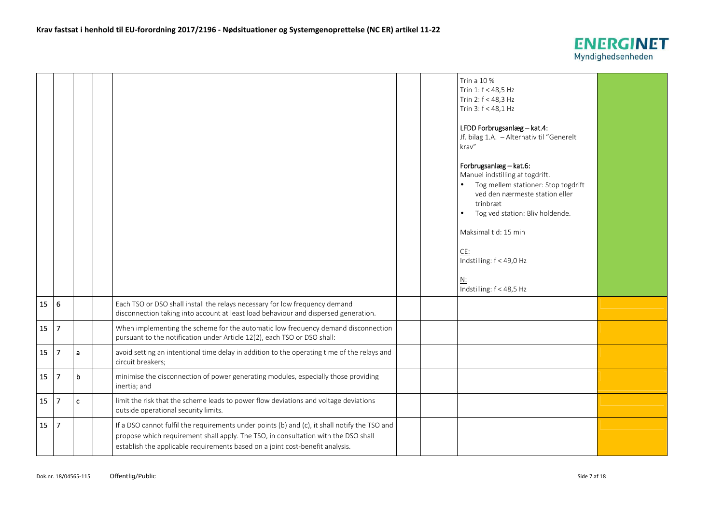

|    |                |              |                                                                                                                                                                                                                                                                      |  | Trin a 10 %<br>Trin 1: f < 48,5 Hz<br>Trin 2: f < 48,3 Hz<br>Trin 3: f < 48,1 Hz                                                                                                                                                                                                            |  |
|----|----------------|--------------|----------------------------------------------------------------------------------------------------------------------------------------------------------------------------------------------------------------------------------------------------------------------|--|---------------------------------------------------------------------------------------------------------------------------------------------------------------------------------------------------------------------------------------------------------------------------------------------|--|
|    |                |              |                                                                                                                                                                                                                                                                      |  | LFDD Forbrugsanlæg - kat.4:<br>Jf. bilag 1.A. - Alternativ til "Generelt<br>krav"                                                                                                                                                                                                           |  |
|    |                |              |                                                                                                                                                                                                                                                                      |  | Forbrugsanlæg - kat.6:<br>Manuel indstilling af togdrift.<br>Tog mellem stationer: Stop togdrift<br>ved den nærmeste station eller<br>trinbræt<br>Tog ved station: Bliv holdende.<br>$\bullet$<br>Maksimal tid: 15 min<br>CE:<br>Indstilling: f < 49,0 Hz<br>N:<br>Indstilling: f < 48,5 Hz |  |
| 15 | 6              |              | Each TSO or DSO shall install the relays necessary for low frequency demand<br>disconnection taking into account at least load behaviour and dispersed generation.                                                                                                   |  |                                                                                                                                                                                                                                                                                             |  |
| 15 | $\overline{7}$ |              | When implementing the scheme for the automatic low frequency demand disconnection<br>pursuant to the notification under Article 12(2), each TSO or DSO shall:                                                                                                        |  |                                                                                                                                                                                                                                                                                             |  |
| 15 | $\overline{7}$ | a            | avoid setting an intentional time delay in addition to the operating time of the relays and<br>circuit breakers;                                                                                                                                                     |  |                                                                                                                                                                                                                                                                                             |  |
| 15 | $\overline{7}$ | b            | minimise the disconnection of power generating modules, especially those providing<br>inertia; and                                                                                                                                                                   |  |                                                                                                                                                                                                                                                                                             |  |
| 15 | 7              | $\mathbf{C}$ | limit the risk that the scheme leads to power flow deviations and voltage deviations<br>outside operational security limits.                                                                                                                                         |  |                                                                                                                                                                                                                                                                                             |  |
| 15 | $\overline{7}$ |              | If a DSO cannot fulfil the requirements under points (b) and (c), it shall notify the TSO and<br>propose which requirement shall apply. The TSO, in consultation with the DSO shall<br>establish the applicable requirements based on a joint cost-benefit analysis. |  |                                                                                                                                                                                                                                                                                             |  |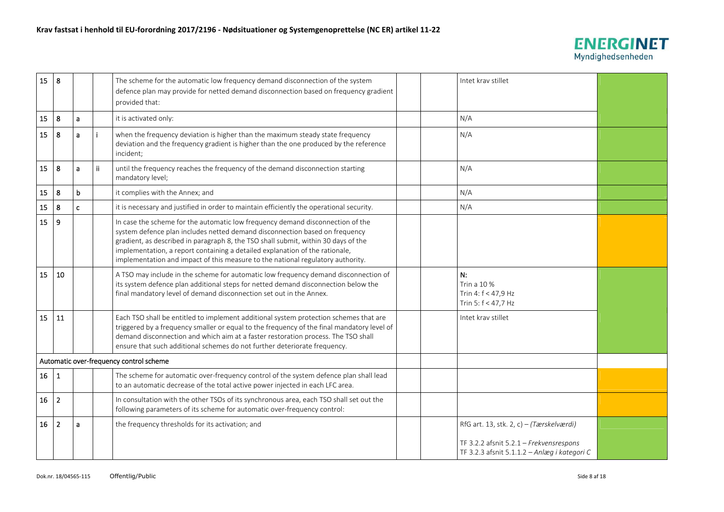

| 15 | 8              |              |    | The scheme for the automatic low frequency demand disconnection of the system<br>defence plan may provide for netted demand disconnection based on frequency gradient<br>provided that:                                                                                                                                                                                                                                | Intet krav stillet                                                                                                                  |  |
|----|----------------|--------------|----|------------------------------------------------------------------------------------------------------------------------------------------------------------------------------------------------------------------------------------------------------------------------------------------------------------------------------------------------------------------------------------------------------------------------|-------------------------------------------------------------------------------------------------------------------------------------|--|
| 15 | 8              | a            |    | it is activated only:                                                                                                                                                                                                                                                                                                                                                                                                  | N/A                                                                                                                                 |  |
| 15 | 8              | a            |    | when the frequency deviation is higher than the maximum steady state frequency<br>deviation and the frequency gradient is higher than the one produced by the reference<br>incident;                                                                                                                                                                                                                                   | N/A                                                                                                                                 |  |
| 15 | 8              | a            | Ϊİ | until the frequency reaches the frequency of the demand disconnection starting<br>mandatory level;                                                                                                                                                                                                                                                                                                                     | N/A                                                                                                                                 |  |
| 15 | 8              | b            |    | it complies with the Annex; and                                                                                                                                                                                                                                                                                                                                                                                        | N/A                                                                                                                                 |  |
| 15 | 8              | $\mathbf{c}$ |    | it is necessary and justified in order to maintain efficiently the operational security.                                                                                                                                                                                                                                                                                                                               | N/A                                                                                                                                 |  |
| 15 | 9              |              |    | In case the scheme for the automatic low frequency demand disconnection of the<br>system defence plan includes netted demand disconnection based on frequency<br>gradient, as described in paragraph 8, the TSO shall submit, within 30 days of the<br>implementation, a report containing a detailed explanation of the rationale,<br>implementation and impact of this measure to the national regulatory authority. |                                                                                                                                     |  |
| 15 | 10             |              |    | A TSO may include in the scheme for automatic low frequency demand disconnection of<br>its system defence plan additional steps for netted demand disconnection below the<br>final mandatory level of demand disconnection set out in the Annex.                                                                                                                                                                       | N:<br>Trin a 10 %<br>Trin 4: f < 47,9 Hz<br>Trin 5: f < 47,7 Hz                                                                     |  |
| 15 | 11             |              |    | Each TSO shall be entitled to implement additional system protection schemes that are<br>triggered by a frequency smaller or equal to the frequency of the final mandatory level of<br>demand disconnection and which aim at a faster restoration process. The TSO shall<br>ensure that such additional schemes do not further deteriorate frequency.                                                                  | Intet krav stillet                                                                                                                  |  |
|    |                |              |    | Automatic over-frequency control scheme                                                                                                                                                                                                                                                                                                                                                                                |                                                                                                                                     |  |
| 16 | $\mathbf{1}$   |              |    | The scheme for automatic over-frequency control of the system defence plan shall lead<br>to an automatic decrease of the total active power injected in each LFC area.                                                                                                                                                                                                                                                 |                                                                                                                                     |  |
| 16 | $\overline{2}$ |              |    | In consultation with the other TSOs of its synchronous area, each TSO shall set out the<br>following parameters of its scheme for automatic over-frequency control:                                                                                                                                                                                                                                                    |                                                                                                                                     |  |
| 16 | $\overline{2}$ | a            |    | the frequency thresholds for its activation; and                                                                                                                                                                                                                                                                                                                                                                       | RfG art. 13, stk. 2, c) - (Tærskelværdi)<br>TF 3.2.2 afsnit 5.2.1 - Frekvensrespons<br>TF 3.2.3 afsnit 5.1.1.2 - Anlæg i kategori C |  |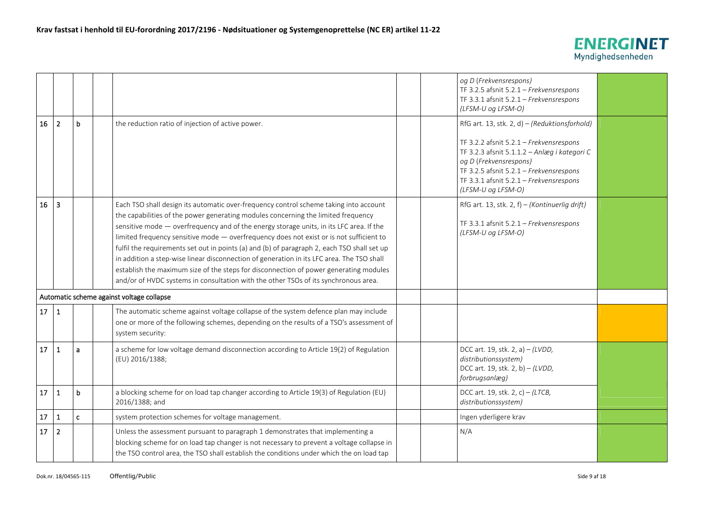

|            |                         |              |                                                                                                                                                                                                                                                                                                                                                                                                                                                                                                                                                                                                                                                                                                                                              | og D (Frekvensrespons)<br>TF 3.2.5 afsnit 5.2.1 - Frekvensrespons<br>TF 3.3.1 afsnit 5.2.1 - Frekvensrespons<br>(LFSM-U og LFSM-O)                                                                                            |  |
|------------|-------------------------|--------------|----------------------------------------------------------------------------------------------------------------------------------------------------------------------------------------------------------------------------------------------------------------------------------------------------------------------------------------------------------------------------------------------------------------------------------------------------------------------------------------------------------------------------------------------------------------------------------------------------------------------------------------------------------------------------------------------------------------------------------------------|-------------------------------------------------------------------------------------------------------------------------------------------------------------------------------------------------------------------------------|--|
| 16         | $\overline{2}$          | $\mathbf b$  | the reduction ratio of injection of active power.                                                                                                                                                                                                                                                                                                                                                                                                                                                                                                                                                                                                                                                                                            | RfG art. 13, stk. 2, d) - (Reduktionsforhold)                                                                                                                                                                                 |  |
|            |                         |              |                                                                                                                                                                                                                                                                                                                                                                                                                                                                                                                                                                                                                                                                                                                                              | TF 3.2.2 afsnit 5.2.1 - Frekvensrespons<br>TF 3.2.3 afsnit 5.1.1.2 - Anlæg i kategori C<br>og D (Frekvensrespons)<br>TF 3.2.5 afsnit 5.2.1 - Frekvensrespons<br>TF 3.3.1 afsnit 5.2.1 - Frekvensrespons<br>(LFSM-U og LFSM-O) |  |
| 16         | $\overline{\mathbf{3}}$ |              | Each TSO shall design its automatic over-frequency control scheme taking into account<br>the capabilities of the power generating modules concerning the limited frequency<br>sensitive mode - overfrequency and of the energy storage units, in its LFC area. If the<br>limited frequency sensitive mode - overfrequency does not exist or is not sufficient to<br>fulfil the requirements set out in points (a) and (b) of paragraph 2, each TSO shall set up<br>in addition a step-wise linear disconnection of generation in its LFC area. The TSO shall<br>establish the maximum size of the steps for disconnection of power generating modules<br>and/or of HVDC systems in consultation with the other TSOs of its synchronous area. | RfG art. 13, stk. 2, f) - (Kontinuerlig drift)<br>TF 3.3.1 afsnit 5.2.1 - Frekvensrespons<br>(LFSM-U og LFSM-O)                                                                                                               |  |
|            |                         |              | Automatic scheme against voltage collapse                                                                                                                                                                                                                                                                                                                                                                                                                                                                                                                                                                                                                                                                                                    |                                                                                                                                                                                                                               |  |
| 17         | $\mathbf{1}$            |              | The automatic scheme against voltage collapse of the system defence plan may include<br>one or more of the following schemes, depending on the results of a TSO's assessment of<br>system security:                                                                                                                                                                                                                                                                                                                                                                                                                                                                                                                                          |                                                                                                                                                                                                                               |  |
| 17         | 1                       | a            | a scheme for low voltage demand disconnection according to Article 19(2) of Regulation<br>(EU) 2016/1388;                                                                                                                                                                                                                                                                                                                                                                                                                                                                                                                                                                                                                                    | DCC art. 19, stk. 2, a) $-(LVDD,$<br>distributionssystem)<br>DCC art. 19, stk. 2, b) - (LVDD,<br>forbrugsanlæg)                                                                                                               |  |
| 17         | $\mathbf{1}$            | $\mathbf b$  | a blocking scheme for on load tap changer according to Article 19(3) of Regulation (EU)<br>2016/1388; and                                                                                                                                                                                                                                                                                                                                                                                                                                                                                                                                                                                                                                    | DCC art. 19, stk. 2, c) - (LTCB,<br>distributionssystem)                                                                                                                                                                      |  |
| ${\bf 17}$ | 1                       | $\mathbf{c}$ | system protection schemes for voltage management.                                                                                                                                                                                                                                                                                                                                                                                                                                                                                                                                                                                                                                                                                            | Ingen yderligere krav                                                                                                                                                                                                         |  |
| 17         | $\overline{2}$          |              | Unless the assessment pursuant to paragraph 1 demonstrates that implementing a<br>blocking scheme for on load tap changer is not necessary to prevent a voltage collapse in<br>the TSO control area, the TSO shall establish the conditions under which the on load tap                                                                                                                                                                                                                                                                                                                                                                                                                                                                      | N/A                                                                                                                                                                                                                           |  |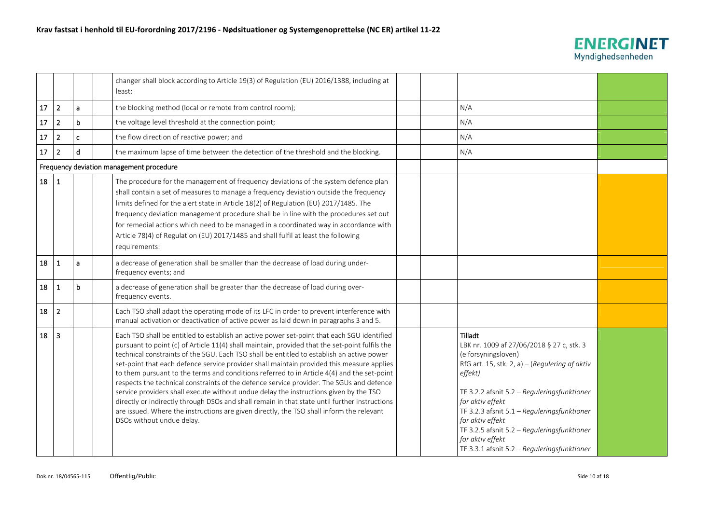

|            |                         |              | changer shall block according to Article 19(3) of Regulation (EU) 2016/1388, including at<br>least:                                                                                                                                                                                                                                                                                                                                                                                                                                                                                                                                                                                                                                                                                                                                                                                                 |  |                                                                                                                                                                                                                                                                                                                                                                                                  |  |
|------------|-------------------------|--------------|-----------------------------------------------------------------------------------------------------------------------------------------------------------------------------------------------------------------------------------------------------------------------------------------------------------------------------------------------------------------------------------------------------------------------------------------------------------------------------------------------------------------------------------------------------------------------------------------------------------------------------------------------------------------------------------------------------------------------------------------------------------------------------------------------------------------------------------------------------------------------------------------------------|--|--------------------------------------------------------------------------------------------------------------------------------------------------------------------------------------------------------------------------------------------------------------------------------------------------------------------------------------------------------------------------------------------------|--|
| $17\,$     | $\overline{2}$          | a            | the blocking method (local or remote from control room);                                                                                                                                                                                                                                                                                                                                                                                                                                                                                                                                                                                                                                                                                                                                                                                                                                            |  | N/A                                                                                                                                                                                                                                                                                                                                                                                              |  |
| 17         | $\overline{\mathbf{2}}$ | b            | the voltage level threshold at the connection point;                                                                                                                                                                                                                                                                                                                                                                                                                                                                                                                                                                                                                                                                                                                                                                                                                                                |  | N/A                                                                                                                                                                                                                                                                                                                                                                                              |  |
| ${\bf 17}$ | $\overline{2}$          | $\mathbf{c}$ | the flow direction of reactive power; and                                                                                                                                                                                                                                                                                                                                                                                                                                                                                                                                                                                                                                                                                                                                                                                                                                                           |  | N/A                                                                                                                                                                                                                                                                                                                                                                                              |  |
| $17\,$     | $\overline{2}$          | d            | the maximum lapse of time between the detection of the threshold and the blocking.                                                                                                                                                                                                                                                                                                                                                                                                                                                                                                                                                                                                                                                                                                                                                                                                                  |  | N/A                                                                                                                                                                                                                                                                                                                                                                                              |  |
|            |                         |              | Frequency deviation management procedure                                                                                                                                                                                                                                                                                                                                                                                                                                                                                                                                                                                                                                                                                                                                                                                                                                                            |  |                                                                                                                                                                                                                                                                                                                                                                                                  |  |
| 18         | $\mathbf{1}$            |              | The procedure for the management of frequency deviations of the system defence plan<br>shall contain a set of measures to manage a frequency deviation outside the frequency<br>limits defined for the alert state in Article 18(2) of Regulation (EU) 2017/1485. The<br>frequency deviation management procedure shall be in line with the procedures set out<br>for remedial actions which need to be managed in a coordinated way in accordance with<br>Article 78(4) of Regulation (EU) 2017/1485 and shall fulfil at least the following<br>requirements:                                                                                                                                                                                                                                                                                                                                      |  |                                                                                                                                                                                                                                                                                                                                                                                                  |  |
| 18         | -1                      | a            | a decrease of generation shall be smaller than the decrease of load during under-<br>frequency events; and                                                                                                                                                                                                                                                                                                                                                                                                                                                                                                                                                                                                                                                                                                                                                                                          |  |                                                                                                                                                                                                                                                                                                                                                                                                  |  |
| 18         | $\mathbf{1}$            | b            | a decrease of generation shall be greater than the decrease of load during over-<br>frequency events.                                                                                                                                                                                                                                                                                                                                                                                                                                                                                                                                                                                                                                                                                                                                                                                               |  |                                                                                                                                                                                                                                                                                                                                                                                                  |  |
| 18         | $\overline{2}$          |              | Each TSO shall adapt the operating mode of its LFC in order to prevent interference with<br>manual activation or deactivation of active power as laid down in paragraphs 3 and 5.                                                                                                                                                                                                                                                                                                                                                                                                                                                                                                                                                                                                                                                                                                                   |  |                                                                                                                                                                                                                                                                                                                                                                                                  |  |
| 18         | $\overline{3}$          |              | Each TSO shall be entitled to establish an active power set-point that each SGU identified<br>pursuant to point (c) of Article 11(4) shall maintain, provided that the set-point fulfils the<br>technical constraints of the SGU. Each TSO shall be entitled to establish an active power<br>set-point that each defence service provider shall maintain provided this measure applies<br>to them pursuant to the terms and conditions referred to in Article 4(4) and the set-point<br>respects the technical constraints of the defence service provider. The SGUs and defence<br>service providers shall execute without undue delay the instructions given by the TSO<br>directly or indirectly through DSOs and shall remain in that state until further instructions<br>are issued. Where the instructions are given directly, the TSO shall inform the relevant<br>DSOs without undue delay. |  | Tilladt<br>LBK nr. 1009 af 27/06/2018 § 27 c, stk. 3<br>(elforsyningsloven)<br>RfG art. 15, stk. 2, a) – (Regulering af aktiv<br>effekt)<br>TF 3.2.2 afsnit 5.2 - Reguleringsfunktioner<br>for aktiv effekt<br>TF 3.2.3 afsnit 5.1 - Reguleringsfunktioner<br>for aktiv effekt<br>TF 3.2.5 afsnit 5.2 - Reguleringsfunktioner<br>for aktiv effekt<br>TF 3.3.1 afsnit 5.2 - Reguleringsfunktioner |  |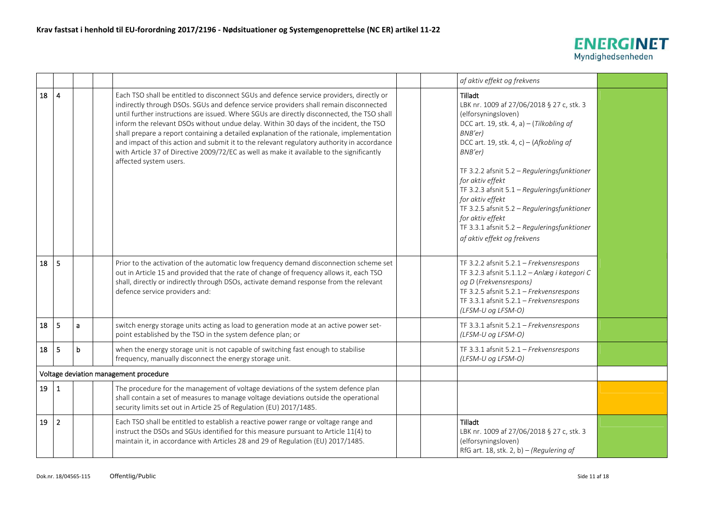

|    |                |   |                                                                                                                                                                                                                                                                                                                                                                                                                                                                                                                                                                                                                                                                                            | af aktiv effekt og frekvens                                                                                                                                                                                                                                                                                                                                                                                                                         |  |
|----|----------------|---|--------------------------------------------------------------------------------------------------------------------------------------------------------------------------------------------------------------------------------------------------------------------------------------------------------------------------------------------------------------------------------------------------------------------------------------------------------------------------------------------------------------------------------------------------------------------------------------------------------------------------------------------------------------------------------------------|-----------------------------------------------------------------------------------------------------------------------------------------------------------------------------------------------------------------------------------------------------------------------------------------------------------------------------------------------------------------------------------------------------------------------------------------------------|--|
| 18 | $\overline{4}$ |   | Each TSO shall be entitled to disconnect SGUs and defence service providers, directly or<br>indirectly through DSOs. SGUs and defence service providers shall remain disconnected<br>until further instructions are issued. Where SGUs are directly disconnected, the TSO shall<br>inform the relevant DSOs without undue delay. Within 30 days of the incident, the TSO<br>shall prepare a report containing a detailed explanation of the rationale, implementation<br>and impact of this action and submit it to the relevant regulatory authority in accordance<br>with Article 37 of Directive 2009/72/EC as well as make it available to the significantly<br>affected system users. | Tilladt<br>LBK nr. 1009 af 27/06/2018 § 27 c, stk. 3<br>(elforsyningsloven)<br>DCC art. 19, stk. 4, a) - (Tilkobling af<br>BNB'er)<br>DCC art. 19, stk. 4, c) - (Afkobling af<br>$BNB'er$ )<br>TF 3.2.2 afsnit 5.2 - Reguleringsfunktioner<br>for aktiv effekt<br>TF 3.2.3 afsnit 5.1 - Reguleringsfunktioner<br>for aktiv effekt<br>TF 3.2.5 afsnit 5.2 - Reguleringsfunktioner<br>for aktiv effekt<br>TF 3.3.1 afsnit 5.2 - Reguleringsfunktioner |  |
|    |                |   |                                                                                                                                                                                                                                                                                                                                                                                                                                                                                                                                                                                                                                                                                            | af aktiv effekt og frekvens                                                                                                                                                                                                                                                                                                                                                                                                                         |  |
| 18 | -5             |   | Prior to the activation of the automatic low frequency demand disconnection scheme set<br>out in Article 15 and provided that the rate of change of frequency allows it, each TSO<br>shall, directly or indirectly through DSOs, activate demand response from the relevant<br>defence service providers and:                                                                                                                                                                                                                                                                                                                                                                              | TF 3.2.2 afsnit $5.2.1$ - Frekvensrespons<br>TF 3.2.3 afsnit 5.1.1.2 - Anlæg i kategori C<br>og D (Frekvensrespons)<br>TF 3.2.5 afsnit 5.2.1 - Frekvensrespons<br>TF 3.3.1 afsnit 5.2.1 - Frekvensrespons<br>(LFSM-U og LFSM-O)                                                                                                                                                                                                                     |  |
| 18 | -5             | a | switch energy storage units acting as load to generation mode at an active power set-<br>point established by the TSO in the system defence plan; or                                                                                                                                                                                                                                                                                                                                                                                                                                                                                                                                       | TF 3.3.1 afsnit 5.2.1 - Frekvensrespons<br>(LFSM-U og LFSM-O)                                                                                                                                                                                                                                                                                                                                                                                       |  |
| 18 | 5              | b | when the energy storage unit is not capable of switching fast enough to stabilise<br>frequency, manually disconnect the energy storage unit.                                                                                                                                                                                                                                                                                                                                                                                                                                                                                                                                               | TF 3.3.1 afsnit 5.2.1 - Frekvensrespons<br>(LFSM-U og LFSM-O)                                                                                                                                                                                                                                                                                                                                                                                       |  |
|    |                |   | Voltage deviation management procedure                                                                                                                                                                                                                                                                                                                                                                                                                                                                                                                                                                                                                                                     |                                                                                                                                                                                                                                                                                                                                                                                                                                                     |  |
| 19 | $\mathbf{1}$   |   | The procedure for the management of voltage deviations of the system defence plan<br>shall contain a set of measures to manage voltage deviations outside the operational<br>security limits set out in Article 25 of Regulation (EU) 2017/1485.                                                                                                                                                                                                                                                                                                                                                                                                                                           |                                                                                                                                                                                                                                                                                                                                                                                                                                                     |  |
| 19 | $\overline{2}$ |   | Each TSO shall be entitled to establish a reactive power range or voltage range and<br>instruct the DSOs and SGUs identified for this measure pursuant to Article 11(4) to<br>maintain it, in accordance with Articles 28 and 29 of Regulation (EU) 2017/1485.                                                                                                                                                                                                                                                                                                                                                                                                                             | Tilladt<br>LBK nr. 1009 af 27/06/2018 § 27 c, stk. 3<br>(elforsyningsloven)<br>RfG art. 18, stk. 2, b) - (Regulering af                                                                                                                                                                                                                                                                                                                             |  |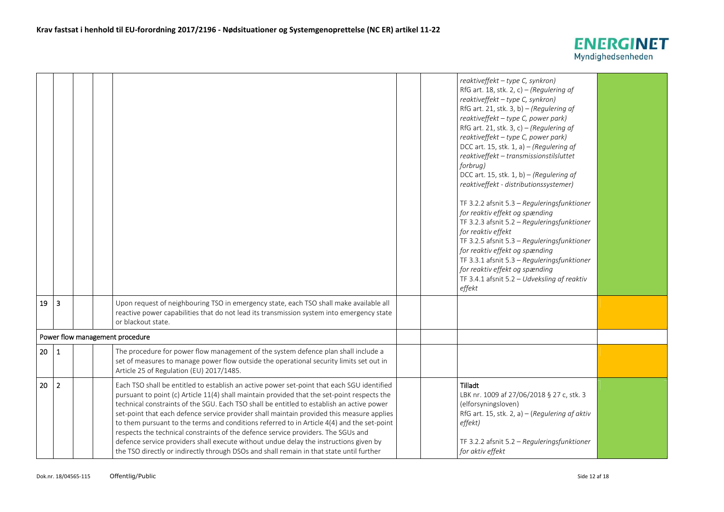

|                 |                |                                 |                                                                                                                                                                                                                                                                                                                                                                                                                                                                                                                                                                                                                                                                                                                                                             |  | reaktiveffekt - type C, synkron)<br>RfG art. 18, stk. 2, c) – (Regulering af<br>reaktiveffekt - type C, synkron)<br>RfG art. 21, stk. 3, b) - (Regulering af<br>reaktiveffekt - type C, power park)<br>RfG art. 21, stk. 3, c) – (Regulering af<br>reaktiveffekt - type C, power park)<br>DCC art. 15, stk. 1, a) $-$ (Regulering af<br>reaktiveffekt - transmissionstilsluttet<br>forbrug)<br>DCC art. 15, stk. 1, b) - (Regulering af<br>reaktiveffekt - distributionssystemer)<br>TF 3.2.2 afsnit 5.3 - Reguleringsfunktioner<br>for reaktiv effekt og spænding<br>TF 3.2.3 afsnit 5.2 - Reguleringsfunktioner<br>for reaktiv effekt<br>TF 3.2.5 afsnit 5.3 - Reguleringsfunktioner<br>for reaktiv effekt og spænding<br>TF 3.3.1 afsnit 5.3 - Reguleringsfunktioner<br>for reaktiv effekt og spænding<br>TF 3.4.1 afsnit $5.2 - U$ dveksling af reaktiv<br>effekt |  |
|-----------------|----------------|---------------------------------|-------------------------------------------------------------------------------------------------------------------------------------------------------------------------------------------------------------------------------------------------------------------------------------------------------------------------------------------------------------------------------------------------------------------------------------------------------------------------------------------------------------------------------------------------------------------------------------------------------------------------------------------------------------------------------------------------------------------------------------------------------------|--|-----------------------------------------------------------------------------------------------------------------------------------------------------------------------------------------------------------------------------------------------------------------------------------------------------------------------------------------------------------------------------------------------------------------------------------------------------------------------------------------------------------------------------------------------------------------------------------------------------------------------------------------------------------------------------------------------------------------------------------------------------------------------------------------------------------------------------------------------------------------------|--|
| 19              | 3              |                                 | Upon request of neighbouring TSO in emergency state, each TSO shall make available all<br>reactive power capabilities that do not lead its transmission system into emergency state<br>or blackout state.                                                                                                                                                                                                                                                                                                                                                                                                                                                                                                                                                   |  |                                                                                                                                                                                                                                                                                                                                                                                                                                                                                                                                                                                                                                                                                                                                                                                                                                                                       |  |
|                 |                | Power flow management procedure |                                                                                                                                                                                                                                                                                                                                                                                                                                                                                                                                                                                                                                                                                                                                                             |  |                                                                                                                                                                                                                                                                                                                                                                                                                                                                                                                                                                                                                                                                                                                                                                                                                                                                       |  |
| 20 <sub>2</sub> | $\mathbf{1}$   |                                 | The procedure for power flow management of the system defence plan shall include a<br>set of measures to manage power flow outside the operational security limits set out in<br>Article 25 of Regulation (EU) 2017/1485.                                                                                                                                                                                                                                                                                                                                                                                                                                                                                                                                   |  |                                                                                                                                                                                                                                                                                                                                                                                                                                                                                                                                                                                                                                                                                                                                                                                                                                                                       |  |
| 20              | $\overline{2}$ |                                 | Each TSO shall be entitled to establish an active power set-point that each SGU identified<br>pursuant to point (c) Article 11(4) shall maintain provided that the set-point respects the<br>technical constraints of the SGU. Each TSO shall be entitled to establish an active power<br>set-point that each defence service provider shall maintain provided this measure applies<br>to them pursuant to the terms and conditions referred to in Article 4(4) and the set-point<br>respects the technical constraints of the defence service providers. The SGUs and<br>defence service providers shall execute without undue delay the instructions given by<br>the TSO directly or indirectly through DSOs and shall remain in that state until further |  | Tilladt<br>LBK nr. 1009 af 27/06/2018 § 27 c, stk. 3<br>(elforsyningsloven)<br>RfG art. 15, stk. 2, a) - (Regulering af aktiv<br>effekt)<br>TF 3.2.2 afsnit 5.2 - Reguleringsfunktioner<br>for aktiv effekt                                                                                                                                                                                                                                                                                                                                                                                                                                                                                                                                                                                                                                                           |  |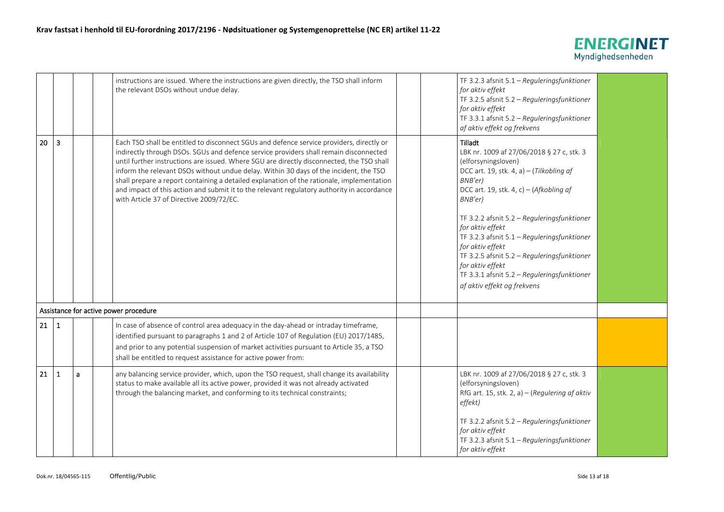

|    |              |   | instructions are issued. Where the instructions are given directly, the TSO shall inform<br>the relevant DSOs without undue delay.                                                                                                                                                                                                                                                                                                                                                                                                                                                                             |  | TF 3.2.3 afsnit 5.1 - Reguleringsfunktioner<br>for aktiv effekt<br>TF 3.2.5 afsnit 5.2 - Reguleringsfunktioner<br>for aktiv effekt<br>TF 3.3.1 afsnit 5.2 - Reguleringsfunktioner<br>af aktiv effekt og frekvens                                                                                                                                                                                                                                                                  |  |
|----|--------------|---|----------------------------------------------------------------------------------------------------------------------------------------------------------------------------------------------------------------------------------------------------------------------------------------------------------------------------------------------------------------------------------------------------------------------------------------------------------------------------------------------------------------------------------------------------------------------------------------------------------------|--|-----------------------------------------------------------------------------------------------------------------------------------------------------------------------------------------------------------------------------------------------------------------------------------------------------------------------------------------------------------------------------------------------------------------------------------------------------------------------------------|--|
| 20 | 3            |   | Each TSO shall be entitled to disconnect SGUs and defence service providers, directly or<br>indirectly through DSOs. SGUs and defence service providers shall remain disconnected<br>until further instructions are issued. Where SGU are directly disconnected, the TSO shall<br>inform the relevant DSOs without undue delay. Within 30 days of the incident, the TSO<br>shall prepare a report containing a detailed explanation of the rationale, implementation<br>and impact of this action and submit it to the relevant regulatory authority in accordance<br>with Article 37 of Directive 2009/72/EC. |  | Tilladt<br>LBK nr. 1009 af 27/06/2018 § 27 c, stk. 3<br>(elforsyningsloven)<br>DCC art. 19, stk. 4, a) $-$ (Tilkobling af<br>BNB'er)<br>DCC art. 19, stk. 4, c) - (Afkobling af<br>BNB'er)<br>TF 3.2.2 afsnit 5.2 - Reguleringsfunktioner<br>for aktiv effekt<br>TF 3.2.3 afsnit 5.1 - Reguleringsfunktioner<br>for aktiv effekt<br>TF 3.2.5 afsnit 5.2 - Reguleringsfunktioner<br>for aktiv effekt<br>TF 3.3.1 afsnit 5.2 - Reguleringsfunktioner<br>af aktiv effekt og frekvens |  |
|    |              |   | Assistance for active power procedure                                                                                                                                                                                                                                                                                                                                                                                                                                                                                                                                                                          |  |                                                                                                                                                                                                                                                                                                                                                                                                                                                                                   |  |
| 21 | $\mathbf 1$  |   | In case of absence of control area adequacy in the day-ahead or intraday timeframe,<br>identified pursuant to paragraphs 1 and 2 of Article 107 of Regulation (EU) 2017/1485,<br>and prior to any potential suspension of market activities pursuant to Article 35, a TSO<br>shall be entitled to request assistance for active power from:                                                                                                                                                                                                                                                                    |  |                                                                                                                                                                                                                                                                                                                                                                                                                                                                                   |  |
| 21 | $\mathbf{1}$ | a | any balancing service provider, which, upon the TSO request, shall change its availability<br>status to make available all its active power, provided it was not already activated<br>through the balancing market, and conforming to its technical constraints;                                                                                                                                                                                                                                                                                                                                               |  | LBK nr. 1009 af 27/06/2018 § 27 c, stk. 3<br>(elforsyningsloven)<br>RfG art. 15, stk. 2, a) - (Regulering af aktiv<br>effekt)<br>TF 3.2.2 afsnit 5.2 - Reguleringsfunktioner<br>for aktiv effekt<br>TF 3.2.3 afsnit 5.1 - Reguleringsfunktioner<br>for aktiv effekt                                                                                                                                                                                                               |  |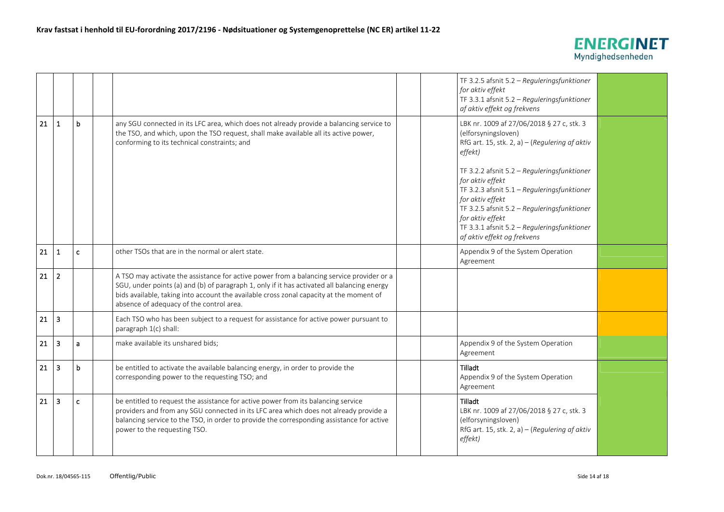

|    |                         |              |                                                                                                                                                                                                                                                                                                                                 |  | TF 3.2.5 afsnit 5.2 - Reguleringsfunktioner<br>for aktiv effekt<br>TF 3.3.1 afsnit 5.2 - Reguleringsfunktioner<br>af aktiv effekt og frekvens                                                                                                                                       |  |
|----|-------------------------|--------------|---------------------------------------------------------------------------------------------------------------------------------------------------------------------------------------------------------------------------------------------------------------------------------------------------------------------------------|--|-------------------------------------------------------------------------------------------------------------------------------------------------------------------------------------------------------------------------------------------------------------------------------------|--|
| 21 | $\mathbf{1}$            | $\mathbf b$  | any SGU connected in its LFC area, which does not already provide a balancing service to<br>the TSO, and which, upon the TSO request, shall make available all its active power,<br>conforming to its technical constraints; and                                                                                                |  | LBK nr. 1009 af 27/06/2018 § 27 c, stk. 3<br>(elforsyningsloven)<br>RfG art. 15, stk. 2, a) - (Regulering af aktiv<br>effekt)                                                                                                                                                       |  |
|    |                         |              |                                                                                                                                                                                                                                                                                                                                 |  | TF 3.2.2 afsnit 5.2 - Reguleringsfunktioner<br>for aktiv effekt<br>TF 3.2.3 afsnit 5.1 - Reguleringsfunktioner<br>for aktiv effekt<br>TF 3.2.5 afsnit 5.2 - Reguleringsfunktioner<br>for aktiv effekt<br>TF 3.3.1 afsnit 5.2 - Reguleringsfunktioner<br>af aktiv effekt og frekvens |  |
| 21 | -1                      | $\mathbf{c}$ | other TSOs that are in the normal or alert state.                                                                                                                                                                                                                                                                               |  | Appendix 9 of the System Operation<br>Agreement                                                                                                                                                                                                                                     |  |
| 21 | $\overline{2}$          |              | A TSO may activate the assistance for active power from a balancing service provider or a<br>SGU, under points (a) and (b) of paragraph 1, only if it has activated all balancing energy<br>bids available, taking into account the available cross zonal capacity at the moment of<br>absence of adequacy of the control area. |  |                                                                                                                                                                                                                                                                                     |  |
| 21 | $\overline{3}$          |              | Each TSO who has been subject to a request for assistance for active power pursuant to<br>paragraph 1(c) shall:                                                                                                                                                                                                                 |  |                                                                                                                                                                                                                                                                                     |  |
| 21 | $\overline{\mathbf{3}}$ | $\mathbf{a}$ | make available its unshared bids;                                                                                                                                                                                                                                                                                               |  | Appendix 9 of the System Operation<br>Agreement                                                                                                                                                                                                                                     |  |
| 21 | $\overline{\mathbf{3}}$ | $\mathbf b$  | be entitled to activate the available balancing energy, in order to provide the<br>corresponding power to the requesting TSO; and                                                                                                                                                                                               |  | Tilladt<br>Appendix 9 of the System Operation<br>Agreement                                                                                                                                                                                                                          |  |
| 21 | $\overline{\mathbf{3}}$ | $\mathbf{c}$ | be entitled to request the assistance for active power from its balancing service<br>providers and from any SGU connected in its LFC area which does not already provide a<br>balancing service to the TSO, in order to provide the corresponding assistance for active<br>power to the requesting TSO.                         |  | <b>Tilladt</b><br>LBK nr. 1009 af 27/06/2018 § 27 c, stk. 3<br>(elforsyningsloven)<br>RfG art. 15, stk. 2, a) - (Regulering af aktiv<br>effekt)                                                                                                                                     |  |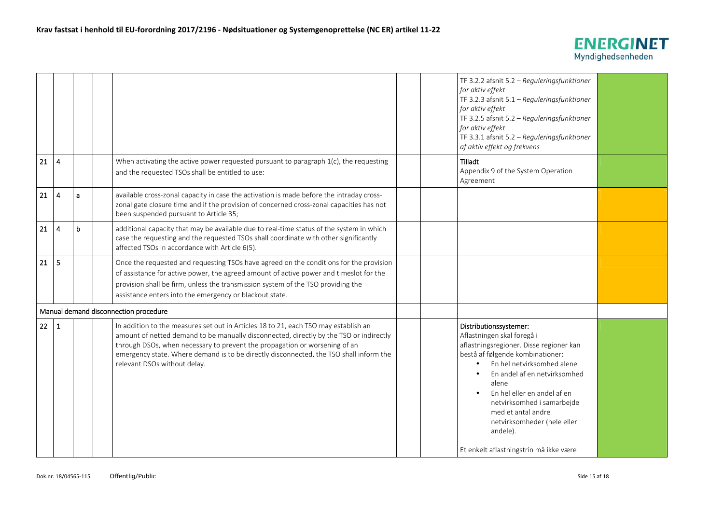

|    |                  |              |                                                                                                                                                                                                                                                                                                                                                                                       |  | TF 3.2.2 afsnit 5.2 - Reguleringsfunktioner<br>for aktiv effekt<br>TF 3.2.3 afsnit 5.1 - Reguleringsfunktioner<br>for aktiv effekt<br>TF 3.2.5 afsnit 5.2 - Reguleringsfunktioner<br>for aktiv effekt<br>TF 3.3.1 afsnit 5.2 - Reguleringsfunktioner<br>af aktiv effekt og frekvens                                                                                                                          |  |
|----|------------------|--------------|---------------------------------------------------------------------------------------------------------------------------------------------------------------------------------------------------------------------------------------------------------------------------------------------------------------------------------------------------------------------------------------|--|--------------------------------------------------------------------------------------------------------------------------------------------------------------------------------------------------------------------------------------------------------------------------------------------------------------------------------------------------------------------------------------------------------------|--|
| 21 | $\overline{4}$   |              | When activating the active power requested pursuant to paragraph 1(c), the requesting<br>and the requested TSOs shall be entitled to use:                                                                                                                                                                                                                                             |  | Tilladt<br>Appendix 9 of the System Operation<br>Agreement                                                                                                                                                                                                                                                                                                                                                   |  |
| 21 | $\overline{4}$   | $\mathbf{a}$ | available cross-zonal capacity in case the activation is made before the intraday cross-<br>zonal gate closure time and if the provision of concerned cross-zonal capacities has not<br>been suspended pursuant to Article 35;                                                                                                                                                        |  |                                                                                                                                                                                                                                                                                                                                                                                                              |  |
| 21 | $\boldsymbol{4}$ | b            | additional capacity that may be available due to real-time status of the system in which<br>case the requesting and the requested TSOs shall coordinate with other significantly<br>affected TSOs in accordance with Article 6(5).                                                                                                                                                    |  |                                                                                                                                                                                                                                                                                                                                                                                                              |  |
| 21 | 5                |              | Once the requested and requesting TSOs have agreed on the conditions for the provision<br>of assistance for active power, the agreed amount of active power and timeslot for the<br>provision shall be firm, unless the transmission system of the TSO providing the<br>assistance enters into the emergency or blackout state.                                                       |  |                                                                                                                                                                                                                                                                                                                                                                                                              |  |
|    |                  |              | Manual demand disconnection procedure                                                                                                                                                                                                                                                                                                                                                 |  |                                                                                                                                                                                                                                                                                                                                                                                                              |  |
| 22 | 1                |              | In addition to the measures set out in Articles 18 to 21, each TSO may establish an<br>amount of netted demand to be manually disconnected, directly by the TSO or indirectly<br>through DSOs, when necessary to prevent the propagation or worsening of an<br>emergency state. Where demand is to be directly disconnected, the TSO shall inform the<br>relevant DSOs without delay. |  | Distributionssystemer:<br>Aflastningen skal foregå i<br>aflastningsregioner. Disse regioner kan<br>bestå af følgende kombinationer:<br>En hel netvirksomhed alene<br>En andel af en netvirksomhed<br>$\bullet$<br>alene<br>En hel eller en andel af en<br>$\bullet$<br>netvirksomhed i samarbejde<br>med et antal andre<br>netvirksomheder (hele eller<br>andele).<br>Et enkelt aflastningstrin må ikke være |  |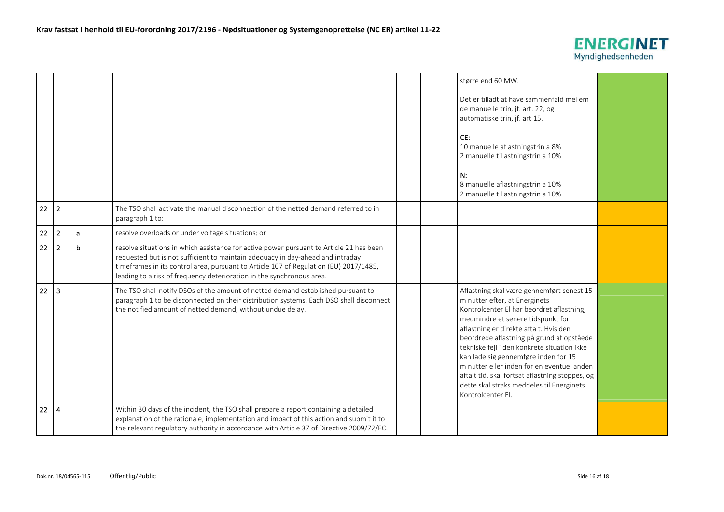

|    |                         |   |                                                                                                                                                                                                                                                                                                                                             |  | større end 60 MW.<br>Det er tilladt at have sammenfald mellem<br>de manuelle trin, jf. art. 22, og<br>automatiske trin, jf. art 15.<br>CE:<br>10 manuelle aflastningstrin a 8%<br>2 manuelle tillastningstrin a 10%<br>N:<br>8 manuelle aflastningstrin a 10%<br>2 manuelle tillastningstrin a 10%                                                                                                                                                                                                            |  |
|----|-------------------------|---|---------------------------------------------------------------------------------------------------------------------------------------------------------------------------------------------------------------------------------------------------------------------------------------------------------------------------------------------|--|---------------------------------------------------------------------------------------------------------------------------------------------------------------------------------------------------------------------------------------------------------------------------------------------------------------------------------------------------------------------------------------------------------------------------------------------------------------------------------------------------------------|--|
| 22 | $\overline{2}$          |   | The TSO shall activate the manual disconnection of the netted demand referred to in<br>paragraph 1 to:                                                                                                                                                                                                                                      |  |                                                                                                                                                                                                                                                                                                                                                                                                                                                                                                               |  |
| 22 | $\overline{2}$          | a | resolve overloads or under voltage situations; or                                                                                                                                                                                                                                                                                           |  |                                                                                                                                                                                                                                                                                                                                                                                                                                                                                                               |  |
| 22 | $\overline{2}$          | b | resolve situations in which assistance for active power pursuant to Article 21 has been<br>requested but is not sufficient to maintain adequacy in day-ahead and intraday<br>timeframes in its control area, pursuant to Article 107 of Regulation (EU) 2017/1485,<br>leading to a risk of frequency deterioration in the synchronous area. |  |                                                                                                                                                                                                                                                                                                                                                                                                                                                                                                               |  |
| 22 | $\overline{\mathbf{3}}$ |   | The TSO shall notify DSOs of the amount of netted demand established pursuant to<br>paragraph 1 to be disconnected on their distribution systems. Each DSO shall disconnect<br>the notified amount of netted demand, without undue delay.                                                                                                   |  | Aflastning skal være gennemført senest 15<br>minutter efter, at Energinets<br>Kontrolcenter El har beordret aflastning,<br>medmindre et senere tidspunkt for<br>aflastning er direkte aftalt. Hvis den<br>beordrede aflastning på grund af opståede<br>tekniske fejl i den konkrete situation ikke<br>kan lade sig gennemføre inden for 15<br>minutter eller inden for en eventuel anden<br>aftalt tid, skal fortsat aflastning stoppes, og<br>dette skal straks meddeles til Energinets<br>Kontrolcenter El. |  |
| 22 | $\overline{\mathbf{4}}$ |   | Within 30 days of the incident, the TSO shall prepare a report containing a detailed<br>explanation of the rationale, implementation and impact of this action and submit it to<br>the relevant regulatory authority in accordance with Article 37 of Directive 2009/72/EC.                                                                 |  |                                                                                                                                                                                                                                                                                                                                                                                                                                                                                                               |  |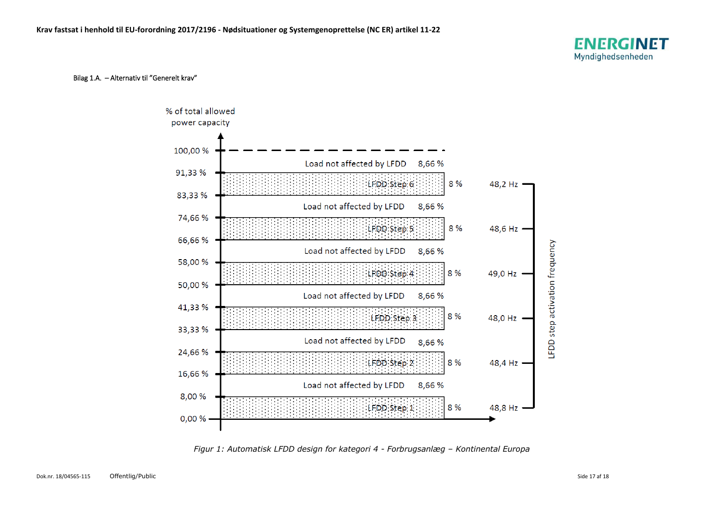## Bilag 1.A. – Alternativ til "Generelt krav"



*Figur 1: Automatisk LFDD design for kategori 4 - Forbrugsanlæg – Kontinental Europa*